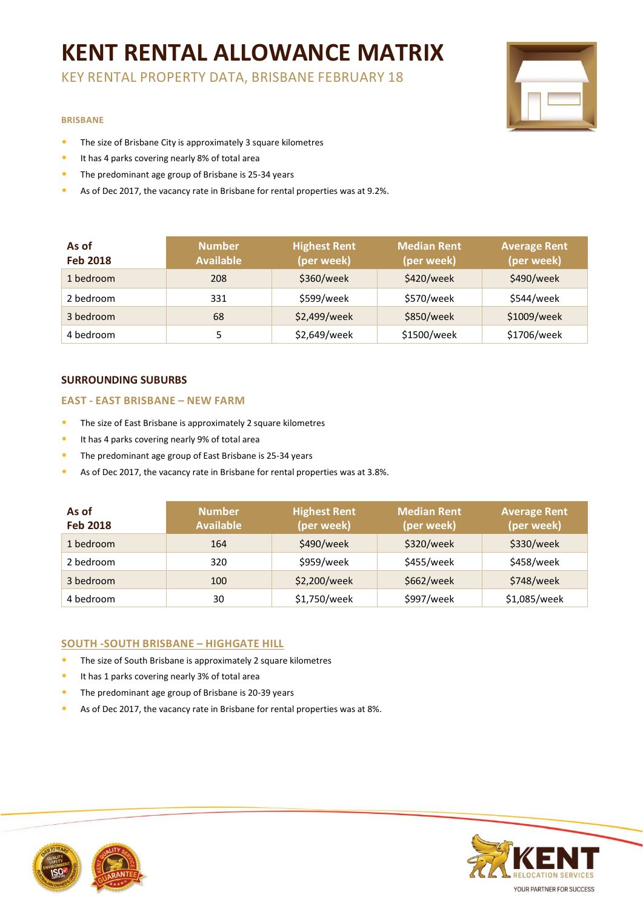# **KENT RENTAL ALLOWANCE MATRIX**

KEY RENTAL PROPERTY DATA, BRISBANE FEBRUARY 18

#### **BRISBANE**

- The size of Brisbane City is approximately 3 square kilometres
- It has 4 parks covering nearly 8% of total area
- The predominant age group of Brisbane is 25-34 years
- As of Dec 2017, the vacancy rate in Brisbane for rental properties was at 9.2%.

| As of<br><b>Feb 2018</b> | <b>Number</b><br><b>Available</b> | <b>Highest Rent</b><br>(per week) | <b>Median Rent</b><br>(per week) | <b>Average Rent</b><br>(per week) |
|--------------------------|-----------------------------------|-----------------------------------|----------------------------------|-----------------------------------|
| 1 bedroom                | 208                               | \$360/week                        | \$420/week                       | \$490/week                        |
| 2 bedroom                | 331                               | \$599/week                        | \$570/week                       | \$544/week                        |
| 3 bedroom                | 68                                | \$2,499/week                      | \$850/week                       | \$1009/week                       |
| 4 bedroom                | 5                                 | \$2,649/week                      | \$1500/week                      | \$1706/week                       |

## **SURROUNDING SUBURBS**

#### **EAST - EAST BRISBANE – NEW FARM**

- The size of East Brisbane is approximately 2 square kilometres
- It has 4 parks covering nearly 9% of total area
- The predominant age group of East Brisbane is 25-34 years
- As of Dec 2017, the vacancy rate in Brisbane for rental properties was at 3.8%.

| As of<br><b>Feb 2018</b> | <b>Number</b><br><b>Available</b> | <b>Highest Rent</b><br>(per week) | <b>Median Rent</b><br>(per week) | <b>Average Rent</b><br>(per week) |
|--------------------------|-----------------------------------|-----------------------------------|----------------------------------|-----------------------------------|
| 1 bedroom                | 164                               | \$490/week                        | \$320/week                       | \$330/week                        |
| 2 bedroom                | 320                               | \$959/week                        | \$455/week                       | \$458/week                        |
| 3 bedroom                | 100                               | \$2,200/week                      | \$662/week                       | \$748/week                        |
| 4 bedroom                | 30                                | \$1,750/week                      | \$997/week                       | \$1,085/week                      |

### **SOUTH -SOUTH BRISBANE – HIGHGATE HILL**

- The size of South Brisbane is approximately 2 square kilometres
- It has 1 parks covering nearly 3% of total area
- The predominant age group of Brisbane is 20-39 years
- As of Dec 2017, the vacancy rate in Brisbane for rental properties was at 8%.



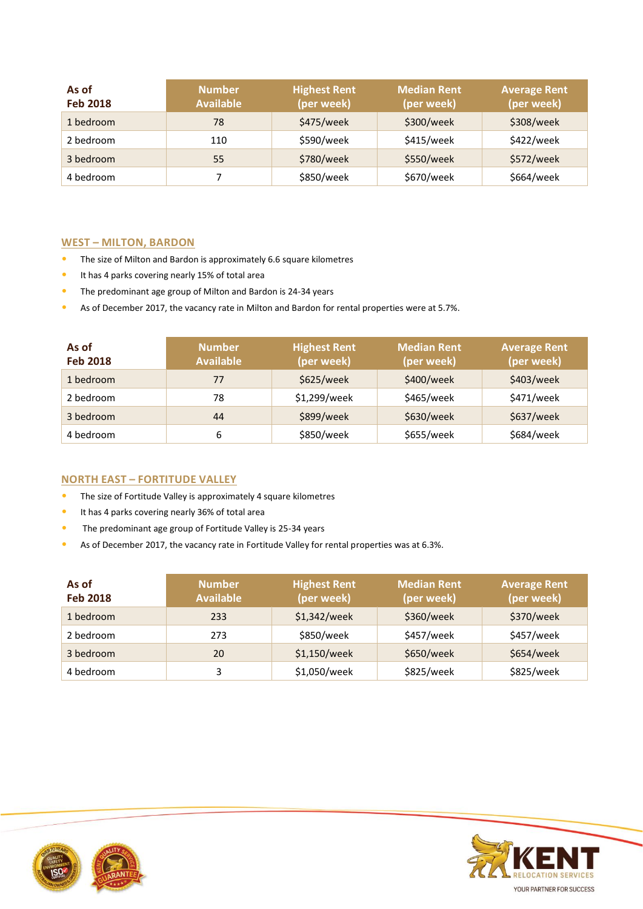| As of<br><b>Feb 2018</b> | <b>Number</b><br><b>Available</b> | <b>Highest Rent</b><br>(per week) | <b>Median Rent</b><br>(per week) | <b>Average Rent</b><br>(per week) |
|--------------------------|-----------------------------------|-----------------------------------|----------------------------------|-----------------------------------|
| 1 bedroom                | 78                                | \$475/week                        | \$300/week                       | \$308/week                        |
| 2 bedroom                | 110                               | \$590/week                        | \$415/week                       | \$422/week                        |
| 3 bedroom                | 55                                | \$780/week                        | \$550/week                       | \$572/week                        |
| 4 bedroom                |                                   | \$850/week                        | \$670/week                       | \$664/week                        |

## **WEST – MILTON, BARDON**

- The size of Milton and Bardon is approximately 6.6 square kilometres
- It has 4 parks covering nearly 15% of total area
- The predominant age group of Milton and Bardon is 24-34 years
- As of December 2017, the vacancy rate in Milton and Bardon for rental properties were at 5.7%.

| As of<br><b>Feb 2018</b> | <b>Number</b><br><b>Available</b> | <b>Highest Rent</b><br>(per week) | Median Rent<br>(per week) | <b>Average Rent</b><br>(per week) |
|--------------------------|-----------------------------------|-----------------------------------|---------------------------|-----------------------------------|
| 1 bedroom                | 77                                | \$625/week                        | \$400/week                | \$403/week                        |
| 2 bedroom                | 78                                | \$1,299/week                      | \$465/week                | \$471/week                        |
| 3 bedroom                | 44                                | \$899/week                        | \$630/week                | \$637/week                        |
| 4 bedroom                | 6                                 | \$850/week                        | \$655/week                | \$684/week                        |

## **NORTH EAST – FORTITUDE VALLEY**

- The size of Fortitude Valley is approximately 4 square kilometres
- It has 4 parks covering nearly 36% of total area
- The predominant age group of Fortitude Valley is 25-34 years
- As of December 2017, the vacancy rate in Fortitude Valley for rental properties was at 6.3%.

| As of<br><b>Feb 2018</b> | <b>Number</b><br><b>Available</b> | <b>Highest Rent</b><br>(per week) | <b>Median Rent</b><br>(per week) | <b>Average Rent</b><br>(per week) |
|--------------------------|-----------------------------------|-----------------------------------|----------------------------------|-----------------------------------|
| 1 bedroom                | 233                               | \$1,342/week                      | \$360/week                       | \$370/week                        |
| 2 bedroom                | 273                               | \$850/week                        | \$457/week                       | \$457/week                        |
| 3 bedroom                | 20                                | \$1,150/week                      | \$650/week                       | \$654/week                        |
| 4 bedroom                | 3                                 | \$1,050/week                      | \$825/week                       | \$825/week                        |